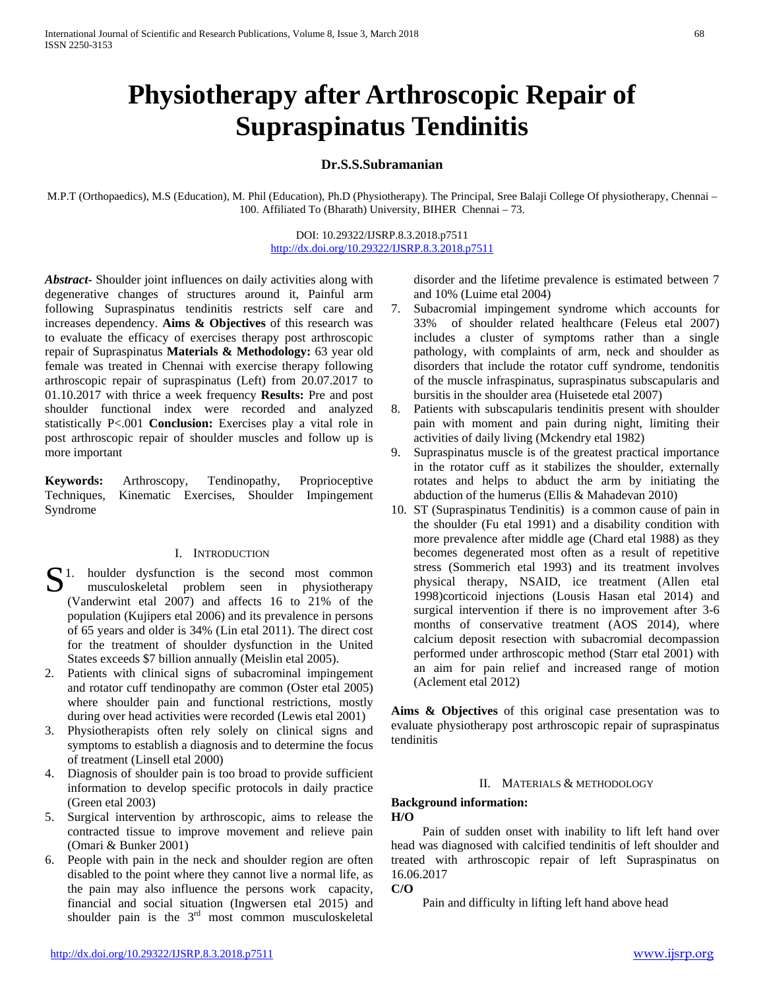# **Physiotherapy after Arthroscopic Repair of Supraspinatus Tendinitis**

## **Dr.S.S.Subramanian**

M.P.T (Orthopaedics), M.S (Education), M. Phil (Education), Ph.D (Physiotherapy). The Principal, Sree Balaji College Of physiotherapy, Chennai – 100. Affiliated To (Bharath) University, BIHER Chennai – 73.

## DOI: 10.29322/IJSRP.8.3.2018.p7511 <http://dx.doi.org/10.29322/IJSRP.8.3.2018.p7511>

*Abstract***-** Shoulder joint influences on daily activities along with degenerative changes of structures around it, Painful arm following Supraspinatus tendinitis restricts self care and increases dependency. **Aims & Objectives** of this research was to evaluate the efficacy of exercises therapy post arthroscopic repair of Supraspinatus **Materials & Methodology:** 63 year old female was treated in Chennai with exercise therapy following arthroscopic repair of supraspinatus (Left) from 20.07.2017 to 01.10.2017 with thrice a week frequency **Results:** Pre and post shoulder functional index were recorded and analyzed statistically P<.001 **Conclusion:** Exercises play a vital role in post arthroscopic repair of shoulder muscles and follow up is more important

**Keywords:** Arthroscopy, Tendinopathy, Proprioceptive Techniques, Kinematic Exercises, Shoulder Impingement Syndrome

## I. INTRODUCTION

- $S<sup>1</sup>$  houlder dysfunction is the second most common musculoskeletal problem seen in physiotherapy musculoskeletal problem seen in physiotherapy (Vanderwint etal 2007) and affects 16 to 21% of the population (Kujipers etal 2006) and its prevalence in persons of 65 years and older is 34% (Lin etal 2011). The direct cost for the treatment of shoulder dysfunction in the United States exceeds \$7 billion annually (Meislin etal 2005).
- 2. Patients with clinical signs of subacrominal impingement and rotator cuff tendinopathy are common (Oster etal 2005) where shoulder pain and functional restrictions, mostly during over head activities were recorded (Lewis etal 2001)
- 3. Physiotherapists often rely solely on clinical signs and symptoms to establish a diagnosis and to determine the focus of treatment (Linsell etal 2000)
- 4. Diagnosis of shoulder pain is too broad to provide sufficient information to develop specific protocols in daily practice (Green etal 2003)
- 5. Surgical intervention by arthroscopic, aims to release the contracted tissue to improve movement and relieve pain (Omari & Bunker 2001)
- 6. People with pain in the neck and shoulder region are often disabled to the point where they cannot live a normal life, as the pain may also influence the persons work capacity, financial and social situation (Ingwersen etal 2015) and shoulder pain is the 3<sup>rd</sup> most common musculoskeletal

disorder and the lifetime prevalence is estimated between 7 and 10% (Luime etal 2004)

- 7. Subacromial impingement syndrome which accounts for 33% of shoulder related healthcare (Feleus etal 2007) includes a cluster of symptoms rather than a single pathology, with complaints of arm, neck and shoulder as disorders that include the rotator cuff syndrome, tendonitis of the muscle infraspinatus, supraspinatus subscapularis and bursitis in the shoulder area (Huisetede etal 2007)
- 8. Patients with subscapularis tendinitis present with shoulder pain with moment and pain during night, limiting their activities of daily living (Mckendry etal 1982)
- 9. Supraspinatus muscle is of the greatest practical importance in the rotator cuff as it stabilizes the shoulder, externally rotates and helps to abduct the arm by initiating the abduction of the humerus (Ellis & Mahadevan 2010)
- 10. ST (Supraspinatus Tendinitis) is a common cause of pain in the shoulder (Fu etal 1991) and a disability condition with more prevalence after middle age (Chard etal 1988) as they becomes degenerated most often as a result of repetitive stress (Sommerich etal 1993) and its treatment involves physical therapy, NSAID, ice treatment (Allen etal 1998)corticoid injections (Lousis Hasan etal 2014) and surgical intervention if there is no improvement after 3-6 months of conservative treatment (AOS 2014), where calcium deposit resection with subacromial decompassion performed under arthroscopic method (Starr etal 2001) with an aim for pain relief and increased range of motion (Aclement etal 2012)

**Aims & Objectives** of this original case presentation was to evaluate physiotherapy post arthroscopic repair of supraspinatus tendinitis

#### II. MATERIALS & METHODOLOGY

### **Background information: H/O**

 Pain of sudden onset with inability to lift left hand over head was diagnosed with calcified tendinitis of left shoulder and treated with arthroscopic repair of left Supraspinatus on 16.06.2017

**C/O**

Pain and difficulty in lifting left hand above head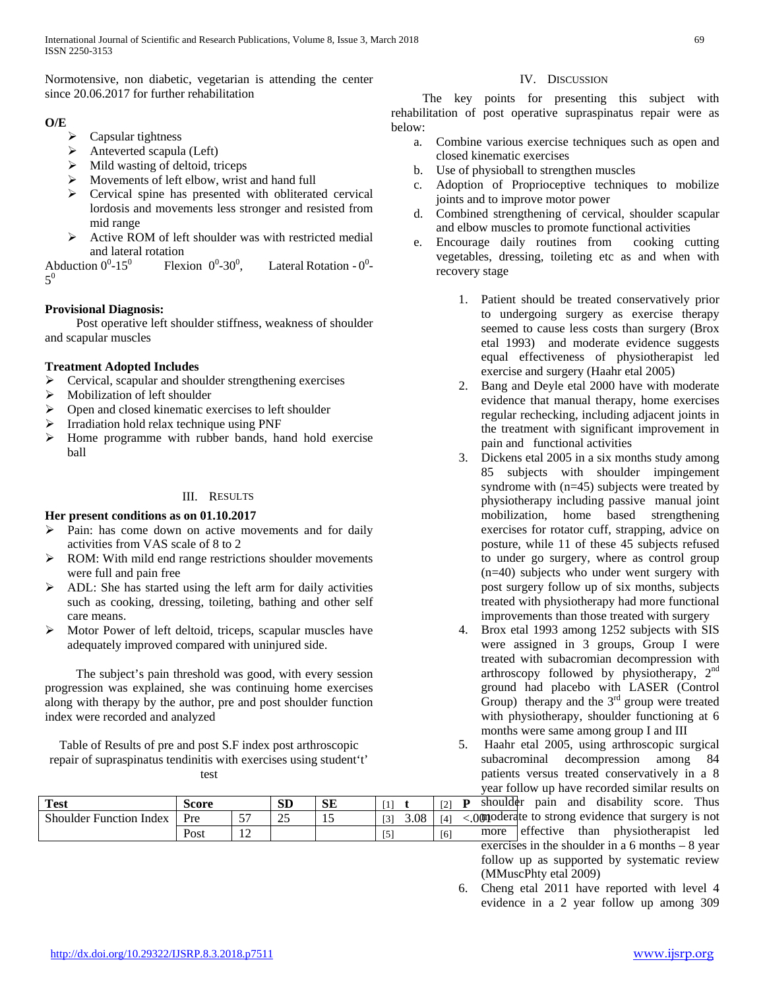Normotensive, non diabetic, vegetarian is attending the center since 20.06.2017 for further rehabilitation

# **O/E**

- $\triangleright$  Capsular tightness
- $\triangleright$  Anteverted scapula (Left)
- $\triangleright$  Mild wasting of deltoid, triceps
- $\triangleright$  Movements of left elbow, wrist and hand full
- $\triangleright$  Cervical spine has presented with obliterated cervical lordosis and movements less stronger and resisted from mid range
- $\triangleright$  Active ROM of left shoulder was with restricted medial and lateral rotation

Abduction  $0^0$ -15<sup>0</sup>  $-15^0$  Flexion 0<sup>0</sup>-30<sup>0</sup> , Lateral Rotation -  $0^0$ - $5^0$ 

# **Provisional Diagnosis:**

 Post operative left shoulder stiffness, weakness of shoulder and scapular muscles

# **Treatment Adopted Includes**

- $\triangleright$  Cervical, scapular and shoulder strengthening exercises
- $\triangleright$  Mobilization of left shoulder
- $\triangleright$  Open and closed kinematic exercises to left shoulder
- Irradiation hold relax technique using PNF
- $\triangleright$  Home programme with rubber bands, hand hold exercise ball

## III. RESULTS

# **Her present conditions as on 01.10.2017**

- $\triangleright$  Pain: has come down on active movements and for daily activities from VAS scale of 8 to 2
- $\triangleright$  ROM: With mild end range restrictions shoulder movements were full and pain free
- $\triangleright$  ADL: She has started using the left arm for daily activities such as cooking, dressing, toileting, bathing and other self care means.
- $\triangleright$  Motor Power of left deltoid, triceps, scapular muscles have adequately improved compared with uninjured side.

 The subject's pain threshold was good, with every session progression was explained, she was continuing home exercises along with therapy by the author, pre and post shoulder function index were recorded and analyzed

Table of Results of pre and post S.F index post arthroscopic repair of supraspinatus tendinitis with exercises using student't' test

| <b>Test</b>                    | Score |                                 | <b>SD</b> | CТ<br>درد |     |      | ГO.<br>∼ | sh          |
|--------------------------------|-------|---------------------------------|-----------|-----------|-----|------|----------|-------------|
| <b>Shoulder Function Index</b> | Pre   | $\overline{\phantom{a}}$<br>- - | Ω£<br>رے  |           | [3] | 3.08 | [4]      | 0 <b>01</b> |
|                                | Post  |                                 |           |           | ◡   |      | [6]      | m           |

## IV. DISCUSSION

 The key points for presenting this subject with rehabilitation of post operative supraspinatus repair were as below:

- a. Combine various exercise techniques such as open and closed kinematic exercises
- b. Use of physioball to strengthen muscles
- c. Adoption of Proprioceptive techniques to mobilize joints and to improve motor power
- d. Combined strengthening of cervical, shoulder scapular and elbow muscles to promote functional activities
- e. Encourage daily routines from cooking cutting vegetables, dressing, toileting etc as and when with recovery stage
	- 1. Patient should be treated conservatively prior to undergoing surgery as exercise therapy seemed to cause less costs than surgery (Brox etal 1993) and moderate evidence suggests equal effectiveness of physiotherapist led exercise and surgery (Haahr etal 2005)
	- 2. Bang and Deyle etal 2000 have with moderate evidence that manual therapy, home exercises regular rechecking, including adjacent joints in the treatment with significant improvement in pain and functional activities
	- 3. Dickens etal 2005 in a six months study among 85 subjects with shoulder impingement syndrome with (n=45) subjects were treated by physiotherapy including passive manual joint mobilization, home based strengthening exercises for rotator cuff, strapping, advice on posture, while 11 of these 45 subjects refused to under go surgery, where as control group (n=40) subjects who under went surgery with post surgery follow up of six months, subjects treated with physiotherapy had more functional improvements than those treated with surgery
	- 4. Brox etal 1993 among 1252 subjects with SIS were assigned in 3 groups, Group I were treated with subacromian decompression with arthroscopy followed by physiotherapy, 2nd ground had placebo with LASER (Control Group) therapy and the  $3<sup>rd</sup>$  group were treated with physiotherapy, shoulder functioning at 6 months were same among group I and III

5. Haahr etal 2005, using arthroscopic surgical subacrominal decompression among 84 patients versus treated conservatively in a 8 year follow up have recorded similar results on

houlder pain and disability score. Thus poderate to strong evidence that surgery is not nore effective than physiotherapist led exercises in the shoulder in a  $6$  months  $-8$  year follow up as supported by systematic review (MMuscPhty etal 2009)

6. Cheng etal 2011 have reported with level 4 evidence in a 2 year follow up among 309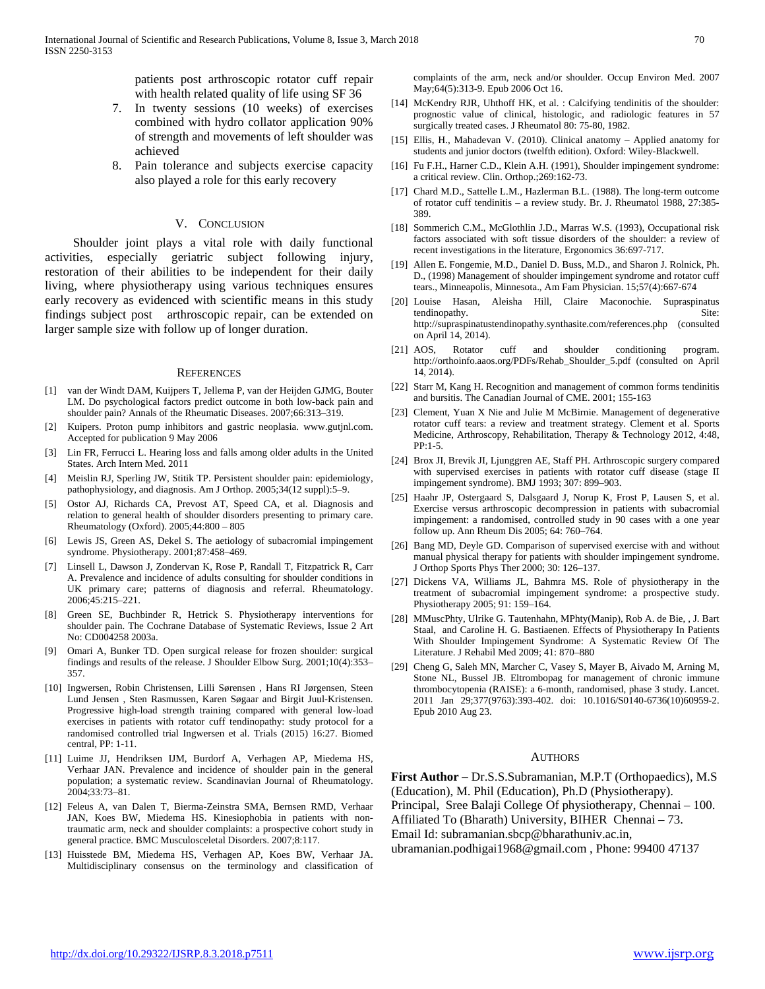patients post arthroscopic rotator cuff repair with health related quality of life using SF 36

- 7. In twenty sessions (10 weeks) of exercises combined with hydro collator application 90% of strength and movements of left shoulder was achieved
- 8. Pain tolerance and subjects exercise capacity also played a role for this early recovery

#### V. CONCLUSION

 Shoulder joint plays a vital role with daily functional activities, especially geriatric subject following injury, restoration of their abilities to be independent for their daily living, where physiotherapy using various techniques ensures early recovery as evidenced with scientific means in this study findings subject post arthroscopic repair, can be extended on larger sample size with follow up of longer duration.

#### **REFERENCES**

- [1] van der Windt DAM, Kuijpers T, Jellema P, van der Heijden GJMG, Bouter LM. Do psychological factors predict outcome in both low-back pain and shoulder pain? Annals of the Rheumatic Diseases. 2007;66:313–319.
- [2] Kuipers. Proton pump inhibitors and gastric neoplasia. www.gutjnl.com. Accepted for publication 9 May 2006
- [3] Lin FR, Ferrucci L. Hearing loss and falls among older adults in the United States. Arch Intern Med. 2011
- [4] Meislin RJ, Sperling JW, Stitik TP. Persistent shoulder pain: epidemiology, pathophysiology, and diagnosis. Am J Orthop. 2005;34(12 suppl):5–9.
- [5] Ostor AJ, Richards CA, Prevost AT, Speed CA, et al. Diagnosis and relation to general health of shoulder disorders presenting to primary care. Rheumatology (Oxford). 2005;44:800 – 805
- [6] Lewis JS, Green AS, Dekel S. The aetiology of subacromial impingement syndrome. Physiotherapy. 2001;87:458–469.
- [7] Linsell L, Dawson J, Zondervan K, Rose P, Randall T, Fitzpatrick R, Carr A. Prevalence and incidence of adults consulting for shoulder conditions in UK primary care; patterns of diagnosis and referral. Rheumatology. 2006;45:215–221.
- [8] Green SE, Buchbinder R, Hetrick S. Physiotherapy interventions for shoulder pain. The Cochrane Database of Systematic Reviews, Issue 2 Art No: CD004258 2003a.
- [9] Omari A, Bunker TD. Open surgical release for frozen shoulder: surgical findings and results of the release. J Shoulder Elbow Surg. 2001;10(4):353– 357.
- [10] Ingwersen, Robin Christensen, Lilli Sørensen , Hans RI Jørgensen, Steen Lund Jensen , Sten Rasmussen, Karen Søgaar and Birgit Juul-Kristensen. Progressive high-load strength training compared with general low-load exercises in patients with rotator cuff tendinopathy: study protocol for a randomised controlled trial Ingwersen et al. Trials (2015) 16:27. Biomed central, PP: 1-11.
- [11] Luime JJ, Hendriksen IJM, Burdorf A, Verhagen AP, Miedema HS, Verhaar JAN. Prevalence and incidence of shoulder pain in the general population; a systematic review. Scandinavian Journal of Rheumatology. 2004;33:73–81.
- [12] Feleus A, van Dalen T, Bierma-Zeinstra SMA, Bernsen RMD, Verhaar JAN, Koes BW, Miedema HS. Kinesiophobia in patients with nontraumatic arm, neck and shoulder complaints: a prospective cohort study in general practice. BMC Musculosceletal Disorders. 2007;8:117.
- [13] Huisstede BM, Miedema HS, Verhagen AP, Koes BW, Verhaar JA. Multidisciplinary consensus on the terminology and classification of

complaints of the arm, neck and/or shoulder. Occup Environ Med. 2007 May;64(5):313-9. Epub 2006 Oct 16.

- [14] McKendry RJR, Uhthoff HK, et al. : Calcifying tendinitis of the shoulder: prognostic value of clinical, histologic, and radiologic features in 57 surgically treated cases. J Rheumatol 80: 75-80, 1982.
- [15] Ellis, H., Mahadevan V. (2010). Clinical anatomy Applied anatomy for students and junior doctors (twelfth edition). Oxford: Wiley-Blackwell.
- [16] Fu F.H., Harner C.D., Klein A.H. (1991), Shoulder impingement syndrome: a critical review. Clin. Orthop.;269:162-73.
- [17] Chard M.D., Sattelle L.M., Hazlerman B.L. (1988). The long-term outcome of rotator cuff tendinitis – a review study. Br. J. Rheumatol 1988, 27:385- 389.
- [18] Sommerich C.M., McGlothlin J.D., Marras W.S. (1993), Occupational risk factors associated with soft tissue disorders of the shoulder: a review of recent investigations in the literature, Ergonomics 36:697-717.
- [19] Allen E. Fongemie, M.D., Daniel D. Buss, M.D., and Sharon J. Rolnick, Ph. D., (1998) Management of shoulder impingement syndrome and rotator cuff tears., Minneapolis, Minnesota., Am Fam Physician. 15;57(4):667-674
- [20] Louise Hasan, Aleisha Hill, Claire Maconochie. Supraspinatus tendinopathy. Site: http://supraspinatustendinopathy.synthasite.com/references.php (consulted on April 14, 2014).
- [21] AOS, Rotator cuff and shoulder conditioning program. http://orthoinfo.aaos.org/PDFs/Rehab\_Shoulder\_5.pdf (consulted on April 14, 2014).
- [22] Starr M, Kang H. Recognition and management of common forms tendinitis and bursitis. The Canadian Journal of CME. 2001; 155-163
- [23] Clement, Yuan X Nie and Julie M McBirnie. Management of degenerative rotator cuff tears: a review and treatment strategy. Clement et al. Sports Medicine, Arthroscopy, Rehabilitation, Therapy & Technology 2012, 4:48, PP:1-5.
- [24] Brox JI, Brevik JI, Ljunggren AE, Staff PH. Arthroscopic surgery compared with supervised exercises in patients with rotator cuff disease (stage II impingement syndrome). BMJ 1993; 307: 899–903.
- [25] Haahr JP, Ostergaard S, Dalsgaard J, Norup K, Frost P, Lausen S, et al. Exercise versus arthroscopic decompression in patients with subacromial impingement: a randomised, controlled study in 90 cases with a one year follow up. Ann Rheum Dis 2005; 64: 760–764.
- [26] Bang MD, Deyle GD. Comparison of supervised exercise with and without manual physical therapy for patients with shoulder impingement syndrome. J Orthop Sports Phys Ther 2000; 30: 126–137.
- [27] Dickens VA, Williams JL, Bahmra MS. Role of physiotherapy in the treatment of subacromial impingement syndrome: a prospective study. Physiotherapy 2005; 91: 159–164.
- [28] MMuscPhty, Ulrike G. Tautenhahn, MPhty(Manip), Rob A. de Bie, , J. Bart Staal, and Caroline H. G. Bastiaenen. Effects of Physiotherapy In Patients With Shoulder Impingement Syndrome: A Systematic Review Of The Literature. J Rehabil Med 2009; 41: 870–880
- [29] Cheng G, Saleh MN, Marcher C, Vasey S, Mayer B, Aivado M, Arning M, Stone NL, Bussel JB. Eltrombopag for management of chronic immune thrombocytopenia (RAISE): a 6-month, randomised, phase 3 study. Lancet. 2011 Jan 29;377(9763):393-402. doi: 10.1016/S0140-6736(10)60959-2. Epub 2010 Aug 23.

#### AUTHORS

**First Author** – Dr.S.S.Subramanian, M.P.T (Orthopaedics), M.S (Education), M. Phil (Education), Ph.D (Physiotherapy).

Principal, Sree Balaji College Of physiotherapy, Chennai – 100.

Affiliated To (Bharath) University, BIHER Chennai – 73.

Email Id: subramanian.sbcp@bharathuniv.ac.in,

ubramanian.podhigai1968@gmail.com , Phone: 99400 47137